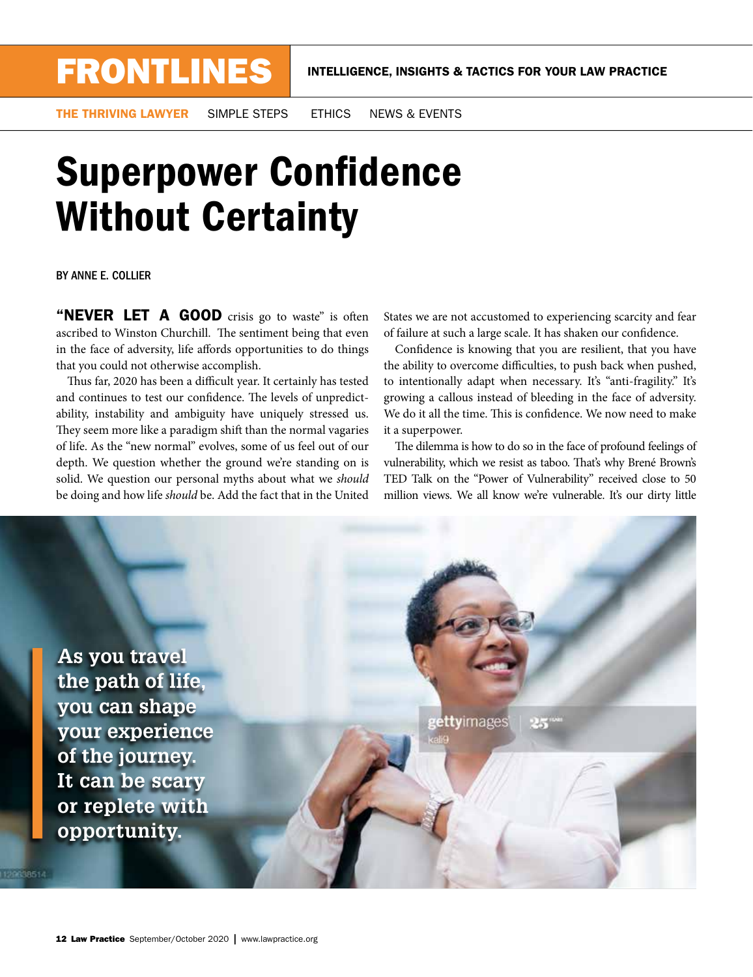THE THRIVING LAWYER SIMPLE STEPS ETHICS NEWS & EVENTS

## **Superpower Confidence** Without Certainty

BY ANNE E. COLLIER

"NEVER LET A GOOD crisis go to waste" is often ascribed to Winston Churchill. The sentiment being that even in the face of adversity, life affords opportunities to do things that you could not otherwise accomplish.

Thus far, 2020 has been a difficult year. It certainly has tested and continues to test our confidence. The levels of unpredictability, instability and ambiguity have uniquely stressed us. They seem more like a paradigm shift than the normal vagaries of life. As the "new normal" evolves, some of us feel out of our depth. We question whether the ground we're standing on is solid. We question our personal myths about what we *should* be doing and how life *should* be. Add the fact that in the United

States we are not accustomed to experiencing scarcity and fear of failure at such a large scale. It has shaken our confdence.

Confdence is knowing that you are resilient, that you have the ability to overcome difficulties, to push back when pushed, to intentionally adapt when necessary. It's "anti-fragility." It's growing a callous instead of bleeding in the face of adversity. We do it all the time. This is confidence. We now need to make it a superpower.

The dilemma is how to do so in the face of profound feelings of vulnerability, which we resist as taboo. That's why Brené Brown's TED Talk on the "Power of Vulnerability" received close to 50 million views. We all know we're vulnerable. It's our dirty little